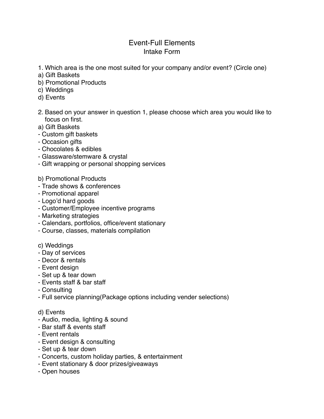## Event-Full Elements Intake Form

- 1. Which area is the one most suited for your company and/or event? (Circle one)
- a) Gift Baskets
- b) Promotional Products
- c) Weddings
- d) Events
- 2. Based on your answer in question 1, please choose which area you would like to focus on first.
- a) Gift Baskets
- Custom gift baskets
- Occasion gifts
- Chocolates & edibles
- Glassware/stemware & crystal
- Gift wrapping or personal shopping services
- b) Promotional Products
- Trade shows & conferences
- Promotional apparel
- Logo'd hard goods
- Customer/Employee incentive programs
- Marketing strategies
- Calendars, portfolios, office/event stationary
- Course, classes, materials compilation
- c) Weddings
- Day of services
- Decor & rentals
- Event design
- Set up & tear down
- Events staff & bar staff
- Consulting
- Full service planning(Package options including vender selections)

## d) Events

- Audio, media, lighting & sound
- Bar staff & events staff
- Event rentals
- Event design & consulting
- Set up & tear down
- Concerts, custom holiday parties, & entertainment
- Event stationary & door prizes/giveaways
- Open houses